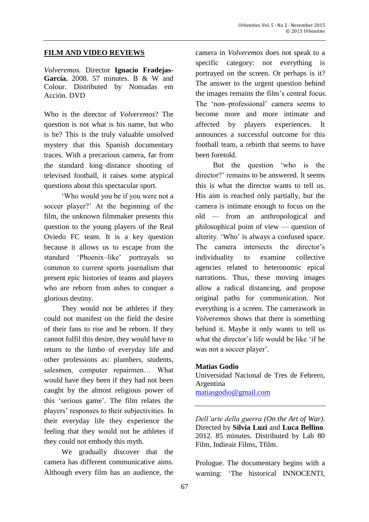#### **FILM AND VIDEO REVIEWS**

*Volveremos.* Director **Ignacio Fradejas-García.** 2008. 57 minutes. B & W and Colour. Distributed by Nomadas em Acción. DVD

Who is the director of *Volveremos*? The question is not what is his name, but who is he? This is the truly valuable unsolved mystery that this Spanish documentary traces. With a precarious camera, far from the standard long–distance shooting of televised football, it raises some atypical questions about this spectacular sport.

'Who would you be if you were not a soccer player?' At the beginning of the film, the unknown filmmaker presents this question to the young players of the Real Oviedo FC team. It is a key question because it allows us to escape from the standard 'Phoenix–like' portrayals so common to current sports journalism that present epic histories of teams and players who are reborn from ashes to conquer a glorious destiny.

They would not be athletes if they could not manifest on the field the desire of their fans to rise and be reborn. If they cannot fulfil this desire, they would have to return to the limbo of everyday life and other professions as: plumbers, students, salesmen, computer repairmen… What would have they been if they had not been caught by the almost religious power of this 'serious game'. The film relates the players' responses to their subjectivities. In their everyday life they experience the feeling that they would not be athletes if they could not embody this myth.

We gradually discover that the camera has different communicative aims. Although every film has an audience, the camera in *Volveremos* does not speak to a specific category: not everything is portrayed on the screen. Or perhaps is it? The answer to the urgent question behind the images remains the film's central focus. The 'non–professional' camera seems to become more and more intimate and affected by players experiences. It announces a successful outcome for this football team, a rebirth that seems to have been foretold.

But the question 'who is the director?' remains to be answered. It seems this is what the director wants to tell us. His aim is reached only partially, but the camera is intimate enough to focus on the old — from an anthropological and philosophical point of view — question of alterity. 'Who' is always a confused space. The camera intersects the director's individuality to examine collective agencies related to heteronomic epical narrations. Thus, these moving images allow a radical distancing, and propose original paths for communication. Not everything is a screen. The camerawork in *Volveremos* shows that there is something behind it. Maybe it only wants to tell us what the director's life would be like 'if he was not a soccer player'.

#### **Matias Godio**

Universidad Nacional de Tres de Febrero, Argentina [matiasgodio@gmail.com](mailto:matiasgodio@gmail.com)

*Dell'arte della guerra (On the Art of War)*. Directed by **Silvia Luzi** and **Luca Bellino**. 2012. 85 minutes. Distributed by Lab 80 Film, Indieair Films, Tfilm.

Prologue. The documentary begins with a warning: 'The historical INNOCENTI,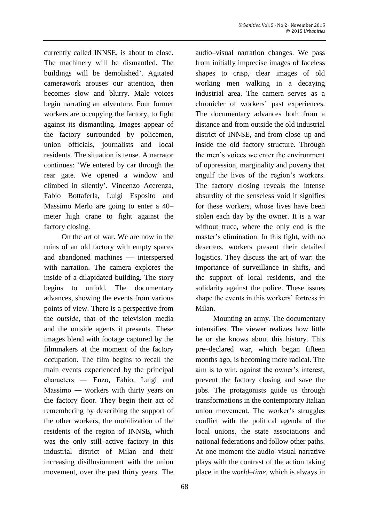currently called INNSE, is about to close. The machinery will be dismantled. The buildings will be demolished'. Agitated camerawork arouses our attention, then becomes slow and blurry. Male voices begin narrating an adventure. Four former workers are occupying the factory, to fight against its dismantling. Images appear of the factory surrounded by policemen, union officials, journalists and local residents. The situation is tense. A narrator continues: 'We entered by car through the rear gate. We opened a window and climbed in silently'. Vincenzo Acerenza, Fabio Bottaferla, Luigi Esposito and Massimo Merlo are going to enter a 40– meter high crane to fight against the factory closing.

On the art of war. We are now in the ruins of an old factory with empty spaces and abandoned machines — interspersed with narration. The camera explores the inside of a dilapidated building. The story begins to unfold. The documentary advances, showing the events from various points of view. There is a perspective from the *outside*, that of the television media and the outside agents it presents. These images blend with footage captured by the filmmakers at the moment of the factory occupation. The film begins to recall the main events experienced by the principal characters ― Enzo, Fabio, Luigi and Massimo ― workers with thirty years on the factory floor. They begin their act of remembering by describing the support of the other workers, the mobilization of the residents of the region of INNSE, which was the only still–active factory in this industrial district of Milan and their increasing disillusionment with the union movement, over the past thirty years. The

audio–visual narration changes. We pass from initially imprecise images of faceless shapes to crisp, clear images of old working men walking in a decaying industrial area. The camera serves as a chronicler of workers' past experiences. The documentary advances both from a distance and from outside the old industrial district of INNSE, and from close–up and inside the old factory structure. Through the men's voices we enter the environment of oppression, marginality and poverty that engulf the lives of the region's workers. The factory closing reveals the intense absurdity of the senseless void it signifies for these workers, whose lives have been stolen each day by the owner. It is a war without truce, where the only end is the master's elimination. In this fight, with no deserters, workers present their detailed logistics. They discuss the art of war: the importance of surveillance in shifts, and the support of local residents, and the solidarity against the police. These issues shape the events in this workers' fortress in Milan.

Mounting an army. The documentary intensifies. The viewer realizes how little he or she knows about this history. This pre–declared war, which began fifteen months ago, is becoming more radical. The aim is to win, against the owner's interest, prevent the factory closing and save the jobs. The protagonists guide us through transformations in the contemporary Italian union movement. The worker's struggles conflict with the political agenda of the local unions, the state associations and national federations and follow other paths. At one moment the audio–visual narrative plays with the contrast of the action taking place in the *world*–*time*, which is always in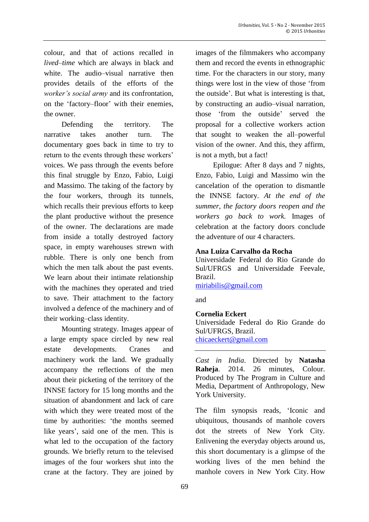colour, and that of actions recalled in *lived*–*time* which are always in black and white. The audio–visual narrative then provides details of the efforts of the *worker's social army* and its confrontation, on the 'factory–floor' with their enemies, the owner.

Defending the territory. The narrative takes another turn. The documentary goes back in time to try to return to the events through these workers' voices. We pass through the events before this final struggle by Enzo, Fabio, Luigi and Massimo. The taking of the factory by the four workers, through its tunnels, which recalls their previous efforts to keep the plant productive without the presence of the owner. The declarations are made from inside a totally destroyed factory space, in empty warehouses strewn with rubble. There is only one bench from which the men talk about the past events. We learn about their intimate relationship with the machines they operated and tried to save. Their attachment to the factory involved a defence of the machinery and of their working–class identity.

Mounting strategy. Images appear of a large empty space circled by new real estate developments. Cranes and machinery work the land. We gradually accompany the reflections of the men about their picketing of the territory of the INNSE factory for 15 long months and the situation of abandonment and lack of care with which they were treated most of the time by authorities: 'the months seemed like years', said one of the men. This is what led to the occupation of the factory grounds. We briefly return to the televised images of the four workers shut into the crane at the factory. They are joined by

images of the filmmakers who accompany them and record the events in ethnographic time. For the characters in our story, many things were lost in the view of those 'from the outside'. But what is interesting is that, by constructing an audio–visual narration, those 'from the outside' served the proposal for a collective workers action that sought to weaken the all–powerful vision of the owner. And this, they affirm, is not a myth, but a fact!

Epilogue: After 8 days and 7 nights, Enzo, Fabio, Luigi and Massimo win the cancelation of the operation to dismantle the INNSE factory. *At the end of the summer, the factory doors reopen and the workers go back to work.* Images of celebration at the factory doors conclude the adventure of our 4 characters.

## **Ana Luiza Carvalho da Rocha**

Universidade Federal do Rio Grande do Sul/UFRGS and Universidade Feevale, Brazil.

[miriabilis@gmail.com](mailto:miriabilis@gmail.com)

and

## **Cornelia Eckert**

Universidade Federal do Rio Grande do Sul/UFRGS, Brazil.

[chicaeckert@gmail.com](mailto:chicaeckert@gmail.com)

*Cast in India*. Directed by **Natasha Raheja**. 2014. 26 minutes, Colour. Produced by The Program in Culture and Media, Department of Anthropology, New York University.

The film synopsis reads, 'Iconic and ubiquitous, thousands of manhole covers dot the streets of New York City. Enlivening the everyday objects around us, this short documentary is a glimpse of the working lives of the men behind the manhole covers in New York City. How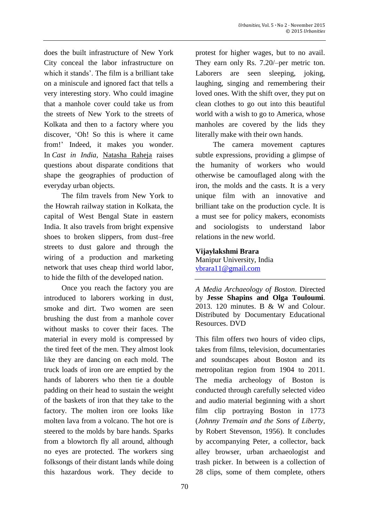does the built infrastructure of New York City conceal the labor infrastructure on which it stands'. The film is a brilliant take on a miniscule and ignored fact that tells a very interesting story. Who could imagine that a manhole cover could take us from the streets of New York to the streets of Kolkata and then to a factory where you discover, 'Oh! So this is where it came from!' Indeed, it makes you wonder. In *Cast in India*, [Natasha](http://www.natasharaheja.com/) Raheja raises questions about disparate conditions that shape the geographies of production of everyday urban objects.

The film travels from New York to the Howrah railway station in Kolkata, the capital of West Bengal State in eastern India. It also travels from bright expensive shoes to broken slippers, from dust–free streets to dust galore and through the wiring of a production and marketing network that uses cheap third world labor, to hide the filth of the developed nation.

Once you reach the factory you are introduced to laborers working in dust, smoke and dirt. Two women are seen brushing the dust from a manhole cover without masks to cover their faces. The material in every mold is compressed by the tired feet of the men. They almost look like they are dancing on each mold. The truck loads of iron ore are emptied by the hands of laborers who then tie a double padding on their head to sustain the weight of the baskets of iron that they take to the factory. The molten iron ore looks like molten lava from a volcano. The hot ore is steered to the molds by bare hands. Sparks from a blowtorch fly all around, although no eyes are protected. The workers sing folksongs of their distant lands while doing this hazardous work. They decide to protest for higher wages, but to no avail. They earn only Rs. 7.20/–per metric ton. Laborers are seen sleeping, joking, laughing, singing and remembering their loved ones. With the shift over, they put on clean clothes to go out into this beautiful world with a wish to go to America, whose manholes are covered by the lids they literally make with their own hands.

The camera movement captures subtle expressions, providing a glimpse of the humanity of workers who would otherwise be camouflaged along with the iron, the molds and the casts. It is a very unique film with an innovative and brilliant take on the production cycle. It is a must see for policy makers, economists and sociologists to understand labor relations in the new world.

**Vijaylakshmi Brara** Manipur University, India [vbrara11@gmail.com](mailto:vbrara11@gmail.com)

*A Media Archaeology of Boston*. Directed by **Jesse Shapins and Olga Touloumi**. 2013. 120 minutes. B & W and Colour. Distributed by Documentary Educational Resources. DVD

This film offers two hours of video clips, takes from films, television, documentaries and soundscapes about Boston and its metropolitan region from 1904 to 2011. The media archeology of Boston is conducted through carefully selected video and audio material beginning with a short film clip portraying Boston in 1773 (*Johnny Tremain and the Sons of Liberty*, by Robert Stevenson, 1956). It concludes by accompanying Peter, a collector, back alley browser, urban archaeologist and trash picker. In between is a collection of 28 clips, some of them complete, others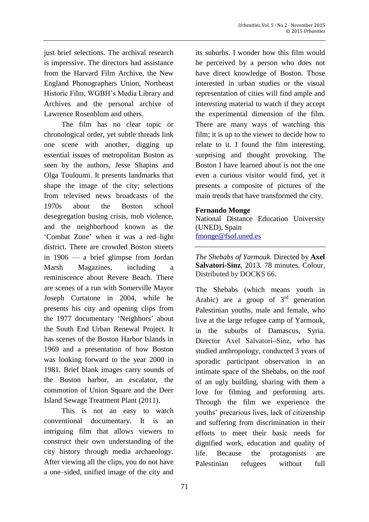just brief selections. The archival research is impressive. The directors had assistance from the Harvard Film Archive, the New England Phonographers Union, Northeast Historic Film, WGBH's Media Library and Archives and the personal archive of Lawrence Rosenblum and others.

The film has no clear topic or chronological order, yet subtle threads link one scene with another, digging up essential issues of metropolitan Boston as seen by the authors, Jesse Shapins and Olga Touloumi. It presents landmarks that shape the image of the city; selections from televised news broadcasts of the 1970s about the Boston school desegregation busing crisis, mob violence, and the neighborhood known as the 'Combat Zone' when it was a red–light district. There are crowded Boston streets in 1906 — a brief glimpse from Jordan Marsh Magazines, including a reminiscence about Revere Beach. There are scenes of a run with Somerville Mayor Joseph Curtatone in 2004, while he presents his city and opening clips from the 1977 documentary 'Neighbors' about the South End Urban Renewal Project. It has scenes of the Boston Harbor Islands in 1969 and a presentation of how Boston was looking forward to the year 2000 in 1981. Brief blank images carry sounds of the Boston harbor, an escalator, the commotion of Union Square and the Deer Island Sewage Treatment Plant (2011).

This is not an easy to watch conventional documentary. It is an intriguing film that allows viewers to construct their own understanding of the city history through media archaeology. After viewing all the clips, you do not have a one–sided, unified image of the city and

its suburbs. I wonder how this film would be perceived by a person who does not have direct knowledge of Boston. Those interested in urban studies or the visual representation of cities will find ample and interesting material to watch if they accept the experimental dimension of the film. There are many ways of watching this film; it is up to the viewer to decide how to relate to it. I found the film interesting, surprising and thought provoking. The Boston I have learned about is not the one even a curious visitor would find, yet it presents a composite of pictures of the main trends that have transformed the city.

# **Fernando Monge**

National Distance Education University (UNED), Spain [fmonge@fsof.uned.es](mailto:fmonge@fsof.uned.es)

*The Shebabs of Yarmouk*. Directed by **Axel Salvatori-Sinz**, 2013. 78 minutes. Colour, Distributed by DOCKS 66.

The Shebabs (which means youth in Arabic) are a group of  $3<sup>rd</sup>$  generation Palestinian youths, male and female, who live at the large refugee camp of Yarmouk, in the suburbs of Damascus, Syria. Director Axel Salvatori**–**Sinz, who has studied anthropology, conducted 3 years of sporadic participant observation in an intimate space of the Shebabs, on the roof of an ugly building, sharing with them a love for filming and performing arts. Through the film we experience the youths' precarious lives, lack of citizenship and suffering from discrimination in their efforts to meet their basic needs for dignified work, education and quality of life. Because the protagonists are Palestinian refugees without full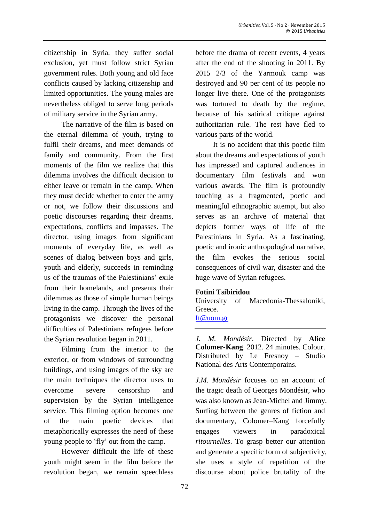citizenship in Syria, they suffer social exclusion, yet must follow strict Syrian government rules. Both young and old face conflicts caused by lacking citizenship and limited opportunities. The young males are nevertheless obliged to serve long periods of military service in the Syrian army.

The narrative of the film is based on the eternal dilemma of youth, trying to fulfil their dreams, and meet demands of family and community. From the first moments of the film we realize that this dilemma involves the difficult decision to either leave or remain in the camp. When they must decide whether to enter the army or not, we follow their discussions and poetic discourses regarding their dreams, expectations, conflicts and impasses. The director, using images from significant moments of everyday life, as well as scenes of dialog between boys and girls, youth and elderly, succeeds in reminding us of the traumas of the Palestinians' exile from their homelands, and presents their dilemmas as those of simple human beings living in the camp. Through the lives of the protagonists we discover the personal difficulties of Palestinians refugees before the Syrian revolution began in 2011.

Filming from the interior to the exterior, or from windows of surrounding buildings, and using images of the sky are the main techniques the director uses to overcome severe censorship and supervision by the Syrian intelligence service. This filming option becomes one of the main poetic devices that metaphorically expresses the need of these young people to 'fly' out from the camp.

However difficult the life of these youth might seem in the film before the revolution began, we remain speechless

before the drama of recent events, 4 years after the end of the shooting in 2011. By 2015 2/3 of the Yarmouk camp was destroyed and 90 per cent of its people no longer live there. One of the protagonists was tortured to death by the regime, because of his satirical critique against authoritarian rule. The rest have fled to various parts of the world.

It is no accident that this poetic film about the dreams and expectations of youth has impressed and captured audiences in documentary film festivals and won various awards. The film is profoundly touching as a fragmented, poetic and meaningful ethnographic attempt, but also serves as an archive of material that depicts former ways of life of the Palestinians in Syria. As a fascinating, poetic and ironic anthropological narrative, the film evokes the serious social consequences of civil war, disaster and the huge wave of Syrian refugees.

## **Fotini Tsibiridou**

University of Macedonia-Thessaloniki, Greece.

[ft@uom.gr](mailto:ft@uom.gr)

*J. M. Mondésir*. Directed by **Alice Colomer-Kang**. 2012. 24 minutes. Colour. Distributed by Le Fresnoy – Studio National des Arts Contemporains.

*J.M. Mondésir* focuses on an account of the tragic death of Georges Mondésir, who was also known as Jean-Michel and Jimmy. Surfing between the genres of fiction and documentary, Colomer–Kang forcefully engages viewers in paradoxical *ritournelles*. To grasp better our attention and generate a specific form of subjectivity, she uses a style of repetition of the discourse about police brutality of the